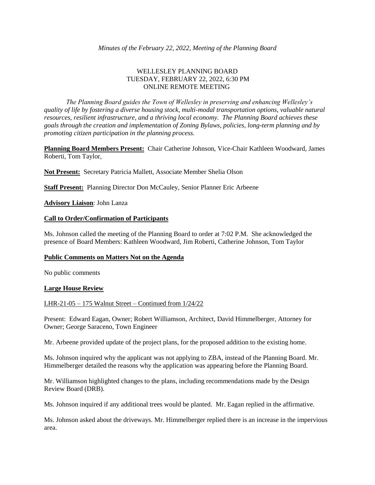# WELLESLEY PLANNING BOARD TUESDAY, FEBRUARY 22, 2022, 6:30 PM ONLINE REMOTE MEETING

*The Planning Board guides the Town of Wellesley in preserving and enhancing Wellesley's quality of life by fostering a diverse housing stock, multi-modal transportation options, valuable natural resources, resilient infrastructure, and a thriving local economy. The Planning Board achieves these goals through the creation and implementation of Zoning Bylaws, policies, long-term planning and by promoting citizen participation in the planning process.*

**Planning Board Members Present:** Chair Catherine Johnson, Vice-Chair Kathleen Woodward, James Roberti, Tom Taylor,

**Not Present:** Secretary Patricia Mallett, Associate Member Shelia Olson

**Staff Present:** Planning Director Don McCauley, Senior Planner Eric Arbeene

**Advisory Liaison**: John Lanza

### **Call to Order/Confirmation of Participants**

Ms. Johnson called the meeting of the Planning Board to order at 7:02 P.M. She acknowledged the presence of Board Members: Kathleen Woodward, Jim Roberti, Catherine Johnson, Tom Taylor

### **Public Comments on Matters Not on the Agenda**

No public comments

### **Large House Review**

### LHR-21-05 – 175 Walnut Street – Continued from 1/24/22

Present: Edward Eagan, Owner; Robert Williamson, Architect, David Himmelberger, Attorney for Owner; George Saraceno, Town Engineer

Mr. Arbeene provided update of the project plans, for the proposed addition to the existing home.

Ms. Johnson inquired why the applicant was not applying to ZBA, instead of the Planning Board. Mr. Himmelberger detailed the reasons why the application was appearing before the Planning Board.

Mr. Williamson highlighted changes to the plans, including recommendations made by the Design Review Board (DRB).

Ms. Johnson inquired if any additional trees would be planted. Mr. Eagan replied in the affirmative.

Ms. Johnson asked about the driveways. Mr. Himmelberger replied there is an increase in the impervious area.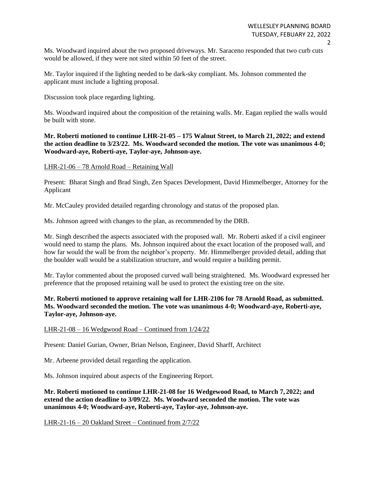Ms. Woodward inquired about the two proposed driveways. Mr. Saraceno responded that two curb cuts would be allowed, if they were not sited within 50 feet of the street.

Mr. Taylor inquired if the lighting needed to be dark-sky compliant. Ms. Johnson commented the applicant must include a lighting proposal.

Discussion took place regarding lighting.

Ms. Woodward inquired about the composition of the retaining walls. Mr. Eagan replied the walls would be built with stone.

**Mr. Roberti motioned to continue LHR-21-05 – 175 Walnut Street, to March 21, 2022; and extend the action deadline to 3/23/22. Ms. Woodward seconded the motion. The vote was unanimous 4-0; Woodward-aye, Roberti-aye, Taylor-aye, Johnson-aye.**

### LHR-21-06 – 78 Arnold Road – Retaining Wall

Present: Bharat Singh and Brad Singh, Zen Spaces Development, David Himmelberger, Attorney for the Applicant

Mr. McCauley provided detailed regarding chronology and status of the proposed plan.

Ms. Johnson agreed with changes to the plan, as recommended by the DRB.

Mr. Singh described the aspects associated with the proposed wall. Mr. Roberti asked if a civil engineer would need to stamp the plans. Ms. Johnson inquired about the exact location of the proposed wall, and how far would the wall be from the neighbor's property. Mr. Himmelberger provided detail, adding that the boulder wall would be a stabilization structure, and would require a building permit.

Mr. Taylor commented about the proposed curved wall being straightened. Ms. Woodward expressed her preference that the proposed retaining wall be used to protect the existing tree on the site.

**Mr. Roberti motioned to approve retaining wall for LHR-2106 for 78 Arnold Road, as submitted. Ms. Woodward seconded the motion. The vote was unanimous 4-0; Woodward-aye, Roberti-aye, Taylor-aye, Johnson-aye.**

### LHR-21-08 – 16 Wedgwood Road – Continued from 1/24/22

Present: Daniel Gurian, Owner, Brian Nelson, Engineer, David Sharff, Architect

Mr. Arbeene provided detail regarding the application.

Ms. Johnson inquired about aspects of the Engineering Report.

**Mr. Roberti motioned to continue LHR-21-08 for 16 Wedgewood Road, to March 7, 2022; and extend the action deadline to 3/09/22. Ms. Woodward seconded the motion. The vote was unanimous 4-0; Woodward-aye, Roberti-aye, Taylor-aye, Johnson-aye.**

LHR-21-16 – 20 Oakland Street – Continued from 2/7/22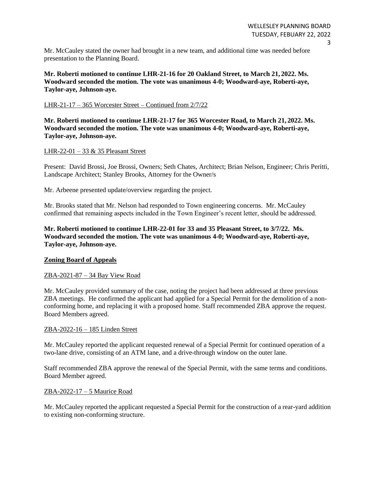Mr. McCauley stated the owner had brought in a new team, and additional time was needed before presentation to the Planning Board.

**Mr. Roberti motioned to continue LHR-21-16 for 20 Oakland Street, to March 21, 2022. Ms. Woodward seconded the motion. The vote was unanimous 4-0; Woodward-aye, Roberti-aye, Taylor-aye, Johnson-aye.**

### LHR-21-17 – 365 Worcester Street – Continued from 2/7/22

**Mr. Roberti motioned to continue LHR-21-17 for 365 Worcester Road, to March 21, 2022. Ms. Woodward seconded the motion. The vote was unanimous 4-0; Woodward-aye, Roberti-aye, Taylor-aye, Johnson-aye.**

## LHR-22-01 – 33 & 35 Pleasant Street

Present: David Brossi, Joe Brossi, Owners; Seth Chates, Architect; Brian Nelson, Engineer; Chris Peritti, Landscape Architect; Stanley Brooks, Attorney for the Owner/s

Mr. Arbeene presented update/overview regarding the project.

Mr. Brooks stated that Mr. Nelson had responded to Town engineering concerns. Mr. McCauley confirmed that remaining aspects included in the Town Engineer's recent letter, should be addressed.

**Mr. Roberti motioned to continue LHR-22-01 for 33 and 35 Pleasant Street, to 3/7/22. Ms. Woodward seconded the motion. The vote was unanimous 4-0; Woodward-aye, Roberti-aye, Taylor-aye, Johnson-aye.**

### **Zoning Board of Appeals**

### ZBA-2021-87 – 34 Bay View Road

Mr. McCauley provided summary of the case, noting the project had been addressed at three previous ZBA meetings. He confirmed the applicant had applied for a Special Permit for the demolition of a nonconforming home, and replacing it with a proposed home. Staff recommended ZBA approve the request. Board Members agreed.

### ZBA-2022-16 – 185 Linden Street

Mr. McCauley reported the applicant requested renewal of a Special Permit for continued operation of a two-lane drive, consisting of an ATM lane, and a drive-through window on the outer lane.

Staff recommended ZBA approve the renewal of the Special Permit, with the same terms and conditions. Board Member agreed.

### ZBA-2022-17 – 5 Maurice Road

Mr. McCauley reported the applicant requested a Special Permit for the construction of a rear-yard addition to existing non-conforming structure.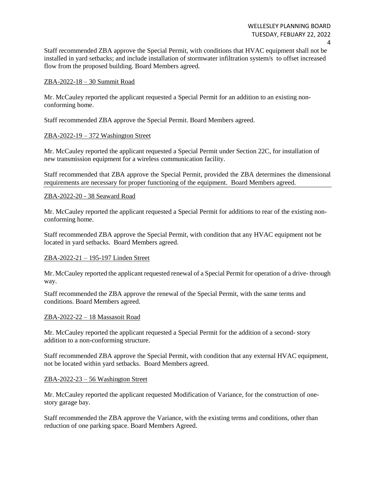Staff recommended ZBA approve the Special Permit, with conditions that HVAC equipment shall not be installed in yard setbacks; and include installation of stormwater infiltration system/s to offset increased flow from the proposed building. Board Members agreed.

### ZBA-2022-18 – 30 Summit Road

Mr. McCauley reported the applicant requested a Special Permit for an addition to an existing nonconforming home.

Staff recommended ZBA approve the Special Permit. Board Members agreed.

### ZBA-2022-19 – 372 Washington Street

Mr. McCauley reported the applicant requested a Special Permit under Section 22C, for installation of new transmission equipment for a wireless communication facility.

Staff recommended that ZBA approve the Special Permit, provided the ZBA determines the dimensional requirements are necessary for proper functioning of the equipment. Board Members agreed.

## ZBA-2022-20 - 38 Seaward Road

Mr. McCauley reported the applicant requested a Special Permit for additions to rear of the existing nonconforming home.

Staff recommended ZBA approve the Special Permit, with condition that any HVAC equipment not be located in yard setbacks. Board Members agreed.

### ZBA-2022-21 – 195-197 Linden Street

Mr. McCauley reported the applicant requested renewal of a Special Permit for operation of a drive- through way.

Staff recommended the ZBA approve the renewal of the Special Permit, with the same terms and conditions. Board Members agreed.

### ZBA-2022-22 – 18 Massasoit Road

Mr. McCauley reported the applicant requested a Special Permit for the addition of a second- story addition to a non-conforming structure.

Staff recommended ZBA approve the Special Permit, with condition that any external HVAC equipment, not be located within yard setbacks. Board Members agreed.

### ZBA-2022-23 – 56 Washington Street

Mr. McCauley reported the applicant requested Modification of Variance, for the construction of onestory garage bay.

Staff recommended the ZBA approve the Variance, with the existing terms and conditions, other than reduction of one parking space. Board Members Agreed.